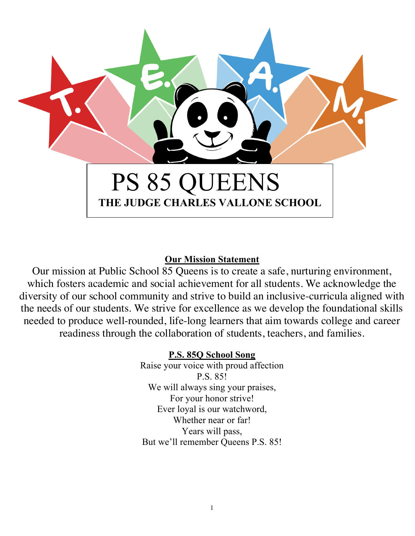

# **Our Mission Statement**

Our mission at Public School 85 Queens is to create a safe, nurturing environment, which fosters academic and social achievement for all students. We acknowledge the diversity of our school community and strive to build an inclusive-curricula aligned with the needs of our students. We strive for excellence as we develop the foundational skills needed to produce well-rounded, life-long learners that aim towards college and career readiness through the collaboration of students, teachers, and families.

# **P.S. 85Q School Song**

Raise your voice with proud affection P.S. 85! We will always sing your praises, For your honor strive! Ever loyal is our watchword, Whether near or far! Years will pass, But we'll remember Queens P.S. 85!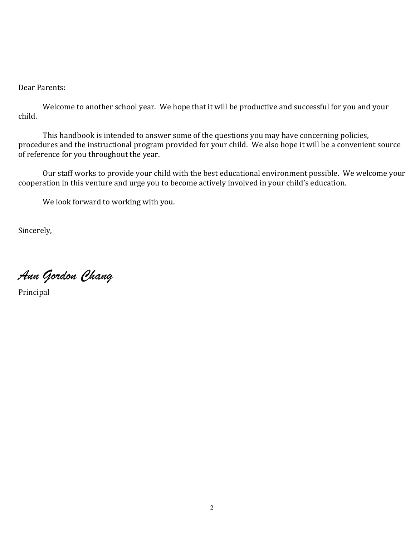Dear Parents:

Welcome to another school year. We hope that it will be productive and successful for you and your child.

This handbook is intended to answer some of the questions you may have concerning policies, procedures and the instructional program provided for your child. We also hope it will be a convenient source of reference for you throughout the year.

Our staff works to provide your child with the best educational environment possible. We welcome your cooperation in this venture and urge you to become actively involved in your child's education.

We look forward to working with you.

Sincerely,

*Ann Gordon Chang*

Principal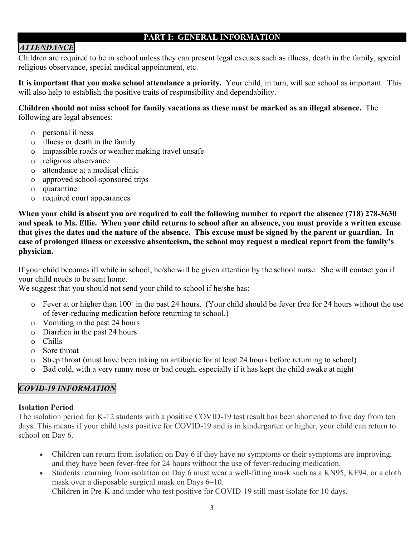#### **PART I: GENERAL INFORMATION**

# *ATTENDANCE*

Children are required to be in school unless they can present legal excuses such as illness, death in the family, special religious observance, special medical appointment, etc.

**It is important that you make school attendance a priority.** Your child, in turn, will see school as important. This will also help to establish the positive traits of responsibility and dependability.

**Children should not miss school for family vacations as these must be marked as an illegal absence.** The following are legal absences:

- o personal illness
- o illness or death in the family
- o impassible roads or weather making travel unsafe
- o religious observance
- o attendance at a medical clinic
- o approved school-sponsored trips
- o quarantine
- o required court appearances

**When your child is absent you are required to call the following number to report the absence (718) 278-3630 and speak to Ms. Ellie. When your child returns to school after an absence, you must provide a written excuse that gives the dates and the nature of the absence. This excuse must be signed by the parent or guardian. In case of prolonged illness or excessive absenteeism, the school may request a medical report from the family's physician.**

If your child becomes ill while in school, he/she will be given attention by the school nurse. She will contact you if your child needs to be sent home.

We suggest that you should not send your child to school if he/she has:

- o Fever at or higher than 100˚ in the past 24 hours. (Your child should be fever free for 24 hours without the use of fever-reducing medication before returning to school.)
- o Vomiting in the past 24 hours
- o Diarrhea in the past 24 hours
- o Chills
- o Sore throat
- o Strep throat (must have been taking an antibiotic for at least 24 hours before returning to school)
- o Bad cold, with a very runny nose or bad cough, especially if it has kept the child awake at night

### *COVID-19 INFORMATION*

#### **Isolation Period**

The isolation period for K-12 students with a positive COVID-19 test result has been shortened to five day from ten days. This means if your child tests positive for COVID-19 and is in kindergarten or higher, your child can return to school on Day 6.

- Children can return from isolation on Day 6 if they have no symptoms or their symptoms are improving, and they have been fever-free for 24 hours without the use of fever-reducing medication.
- Students returning from isolation on Day 6 must wear a well-fitting mask such as a KN95, KF94, or a cloth mask over a disposable surgical mask on Days 6–10. Children in Pre-K and under who test positive for COVID-19 still must isolate for 10 days.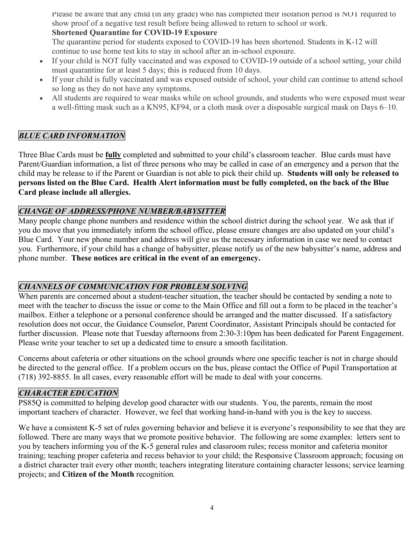Please be aware that any child (in any grade) who has completed their isolation period is NOT required to show proof of a negative test result before being allowed to return to school or work.

#### **Shortened Quarantine for COVID-19 Exposure**

The quarantine period for students exposed to COVID-19 has been shortened. Students in K-12 will continue to use home test kits to stay in school after an in-school exposure.

- If your child is NOT fully vaccinated and was exposed to COVID-19 outside of a school setting, your child must quarantine for at least 5 days; this is reduced from 10 days.
- If your child is fully vaccinated and was exposed outside of school, your child can continue to attend school so long as they do not have any symptoms.
- All students are required to wear masks while on school grounds, and students who were exposed must wear a well-fitting mask such as a KN95, KF94, or a cloth mask over a disposable surgical mask on Days 6–10.

# *BLUE CARD INFORMATION*

Three Blue Cards must be **fully** completed and submitted to your child's classroom teacher. Blue cards must have Parent/Guardian information, a list of three persons who may be called in case of an emergency and a person that the child may be release to if the Parent or Guardian is not able to pick their child up. **Students will only be released to persons listed on the Blue Card. Health Alert information must be fully completed, on the back of the Blue Card please include all allergies.**

### *CHANGE OF ADDRESS/PHONE NUMBER/BABYSITTER*

Many people change phone numbers and residence within the school district during the school year. We ask that if you do move that you immediately inform the school office, please ensure changes are also updated on your child's Blue Card. Your new phone number and address will give us the necessary information in case we need to contact you. Furthermore, if your child has a change of babysitter, please notify us of the new babysitter's name, address and phone number. **These notices are critical in the event of an emergency.**

### *CHANNELS OF COMMUNICATION FOR PROBLEM SOLVING*

When parents are concerned about a student-teacher situation, the teacher should be contacted by sending a note to meet with the teacher to discuss the issue or come to the Main Office and fill out a form to be placed in the teacher's mailbox. Either a telephone or a personal conference should be arranged and the matter discussed. If a satisfactory resolution does not occur, the Guidance Counselor, Parent Coordinator, Assistant Principals should be contacted for further discussion. Please note that Tuesday afternoons from 2:30-3:10pm has been dedicated for Parent Engagement. Please write your teacher to set up a dedicated time to ensure a smooth facilitation.

Concerns about cafeteria or other situations on the school grounds where one specific teacher is not in charge should be directed to the general office. If a problem occurs on the bus, please contact the Office of Pupil Transportation at (718) 392-8855. In all cases, every reasonable effort will be made to deal with your concerns.

## *CHARACTER EDUCATION*

PS85Q is committed to helping develop good character with our students. You, the parents, remain the most important teachers of character. However, we feel that working hand-in-hand with you is the key to success.

We have a consistent K-5 set of rules governing behavior and believe it is everyone's responsibility to see that they are followed. There are many ways that we promote positive behavior. The following are some examples: letters sent to you by teachers informing you of the K-5 general rules and classroom rules; recess monitor and cafeteria monitor training; teaching proper cafeteria and recess behavior to your child; the Responsive Classroom approach; focusing on a district character trait every other month; teachers integrating literature containing character lessons; service learning projects; and **Citizen of the Month** recognition*.*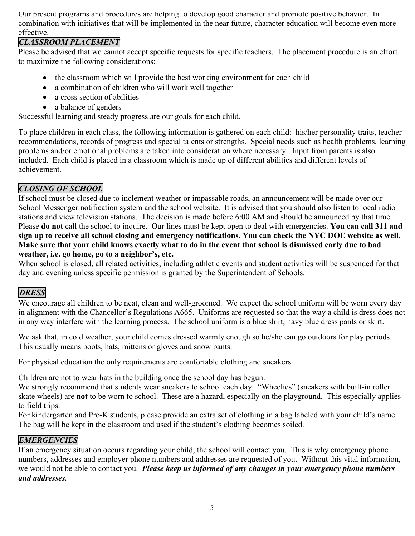Our present programs and procedures are helping to develop good character and promote positive behavior. In combination with initiatives that will be implemented in the near future, character education will become even more effective.

### *CLASSROOM PLACEMENT*

Please be advised that we cannot accept specific requests for specific teachers. The placement procedure is an effort to maximize the following considerations:

- the classroom which will provide the best working environment for each child
- a combination of children who will work well together
- a cross section of abilities
- a balance of genders

Successful learning and steady progress are our goals for each child.

To place children in each class, the following information is gathered on each child: his/her personality traits, teacher recommendations, records of progress and special talents or strengths. Special needs such as health problems, learning problems and/or emotional problems are taken into consideration where necessary. Input from parents is also included. Each child is placed in a classroom which is made up of different abilities and different levels of achievement.

# *CLOSING OF SCHOOL*

If school must be closed due to inclement weather or impassable roads, an announcement will be made over our School Messenger notification system and the school website. It is advised that you should also listen to local radio stations and view television stations. The decision is made before 6:00 AM and should be announced by that time. Please **do not** call the school to inquire. Our lines must be kept open to deal with emergencies. **You can call 311 and sign up to receive all school closing and emergency notifications. You can check the NYC DOE website as well. Make sure that your child knows exactly what to do in the event that school is dismissed early due to bad weather, i.e. go home, go to a neighbor's, etc.**

When school is closed, all related activities, including athletic events and student activities will be suspended for that day and evening unless specific permission is granted by the Superintendent of Schools.

# *DRESS*

We encourage all children to be neat, clean and well-groomed. We expect the school uniform will be worn every day in alignment with the Chancellor's Regulations A665. Uniforms are requested so that the way a child is dress does not in any way interfere with the learning process. The school uniform is a blue shirt, navy blue dress pants or skirt.

We ask that, in cold weather, your child comes dressed warmly enough so he/she can go outdoors for play periods. This usually means boots, hats, mittens or gloves and snow pants.

For physical education the only requirements are comfortable clothing and sneakers.

Children are not to wear hats in the building once the school day has begun.

We strongly recommend that students wear sneakers to school each day. "Wheelies" (sneakers with built-in roller skate wheels) are **not** to be worn to school. These are a hazard, especially on the playground. This especially applies to field trips.

For kindergarten and Pre-K students, please provide an extra set of clothing in a bag labeled with your child's name. The bag will be kept in the classroom and used if the student's clothing becomes soiled.

# *EMERGENCIES*

If an emergency situation occurs regarding your child, the school will contact you. This is why emergency phone numbers, addresses and employer phone numbers and addresses are requested of you. Without this vital information, we would not be able to contact you. *Please keep us informed of any changes in your emergency phone numbers and addresses.*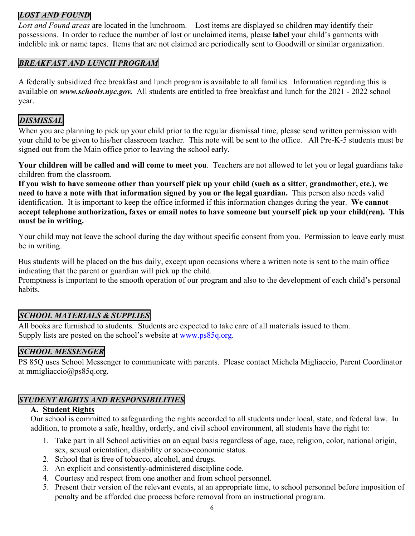### *LOST AND FOUND*

*Lost and Found areas* are located in the lunchroom. Lost items are displayed so children may identify their possessions. In order to reduce the number of lost or unclaimed items, please **label** your child's garments with indelible ink or name tapes. Items that are not claimed are periodically sent to Goodwill or similar organization.

#### *BREAKFAST AND LUNCH PROGRAM*

A federally subsidized free breakfast and lunch program is available to all families. Information regarding this is available on *www.schools.nyc.gov.* All students are entitled to free breakfast and lunch for the 2021 - 2022 school year.

### *DISMISSAL*

When you are planning to pick up your child prior to the regular dismissal time, please send written permission with your child to be given to his/her classroom teacher. This note will be sent to the office. All Pre-K-5 students must be signed out from the Main office prior to leaving the school early.

**Your children will be called and will come to meet you**. Teachers are not allowed to let you or legal guardians take children from the classroom.

**If you wish to have someone other than yourself pick up your child (such as a sitter, grandmother, etc.), we need to have a note with that information signed by you or the legal guardian.** This person also needs valid identification. It is important to keep the office informed if this information changes during the year. **We cannot accept telephone authorization, faxes or email notes to have someone but yourself pick up your child(ren). This must be in writing.**

Your child may not leave the school during the day without specific consent from you. Permission to leave early must be in writing.

Bus students will be placed on the bus daily, except upon occasions where a written note is sent to the main office indicating that the parent or guardian will pick up the child.

Promptness is important to the smooth operation of our program and also to the development of each child's personal habits.

### *SCHOOL MATERIALS & SUPPLIES*

All books are furnished to students. Students are expected to take care of all materials issued to them. Supply lists are posted on the school's website at www.ps85q.org.

# *SCHOOL MESSENGER*

PS 85Q uses School Messenger to communicate with parents. Please contact Michela Migliaccio, Parent Coordinator at mmigliaccio@ps85q.org.

## *STUDENT RIGHTS AND RESPONSIBILITIES*

#### **A. Student Rights**

Our school is committed to safeguarding the rights accorded to all students under local, state, and federal law. In addition, to promote a safe, healthy, orderly, and civil school environment, all students have the right to:

- 1. Take part in all School activities on an equal basis regardless of age, race, religion, color, national origin, sex, sexual orientation, disability or socio-economic status.
- 2. School that is free of tobacco, alcohol, and drugs.
- 3. An explicit and consistently-administered discipline code.
- 4. Courtesy and respect from one another and from school personnel.
- 5. Present their version of the relevant events, at an appropriate time, to school personnel before imposition of penalty and be afforded due process before removal from an instructional program.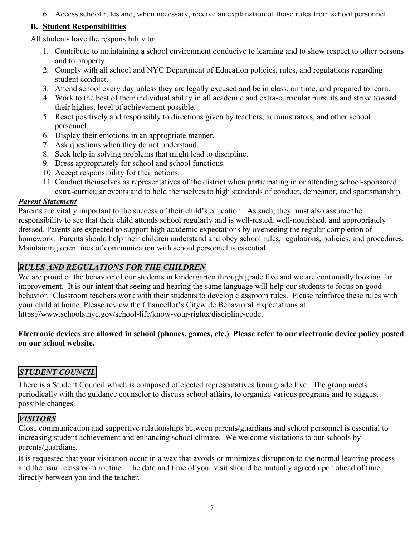6. Access school rules and, when necessary, receive an explanation of those rules from school personnel.

## **B. Student Responsibilities**

All students have the responsibility to:

- 1. Contribute to maintaining a school environment conducive to learning and to show respect to other persons and to property.
- 2. Comply with all school and NYC Department of Education policies, rules, and regulations regarding student conduct.
- 3. Attend school every day unless they are legally excused and be in class, on time, and prepared to learn.
- 4. Work to the best of their individual ability in all academic and extra-curricular pursuits and strive toward their highest level of achievement possible.
- 5. React positively and responsibly to directions given by teachers, administrators, and other school personnel.
- 6. Display their emotions in an appropriate manner.
- 7. Ask questions when they do not understand.
- 8. Seek help in solving problems that might lead to discipline.
- 9. Dress appropriately for school and school functions.
- 10. Accept responsibility for their actions.
- 11. Conduct themselves as representatives of the district when participating in or attending school-sponsored extra-curricular events and to hold themselves to high standards of conduct, demeanor, and sportsmanship.

#### *Parent Statement*

Parents are vitally important to the success of their child's education. As such, they must also assume the responsibility to see that their child attends school regularly and is well-rested, well-nourished, and appropriately dressed. Parents are expected to support high academic expectations by overseeing the regular completion of homework. Parents should help their children understand and obey school rules, regulations, policies, and procedures. Maintaining open lines of communication with school personnel is essential.

## *RULES AND REGULATIONS FOR THE CHILDREN*

We are proud of the behavior of our students in kindergarten through grade five and we are continually looking for improvement. It is our intent that seeing and hearing the same language will help our students to focus on good behavior. Classroom teachers work with their students to develop classroom rules. Please reinforce these rules with your child at home. Please review the Chancellor's Citywide Behavioral Expectations at https://www.schools.nyc.gov/school-life/know-your-rights/discipline-code.

#### **Electronic devices are allowed in school (phones, games, etc.) Please refer to our electronic device policy posted on our school website.**

# *STUDENT COUNCIL*

There is a Student Council which is composed of elected representatives from grade five. The group meets periodically with the guidance counselor to discuss school affairs, to organize various programs and to suggest possible changes.

### *VISITORS*

Close communication and supportive relationships between parents/guardians and school personnel is essential to increasing student achievement and enhancing school climate. We welcome visitations to our schools by parents/guardians.

It is requested that your visitation occur in a way that avoids or minimizes disruption to the normal learning process and the usual classroom routine. The date and time of your visit should be mutually agreed upon ahead of time directly between you and the teacher.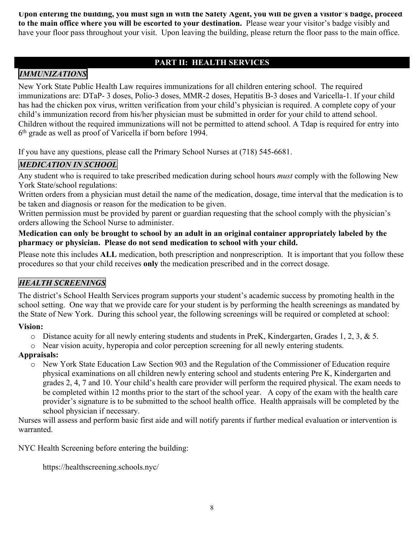**Upon entering the building, you must sign in with the Safety Agent, you will be given a visitor's badge, proceed to the main office where you will be escorted to your destination.** Please wear your visitor's badge visibly and have your floor pass throughout your visit. Upon leaving the building, please return the floor pass to the main office.

## **PART II: HEALTH SERVICES**

# *IMMUNIZATIONS*

New York State Public Health Law requires immunizations for all children entering school. The required immunizations are: DTaP- 3 doses, Polio-3 doses, MMR-2 doses, Hepatitis B-3 doses and Varicella-1. If your child has had the chicken pox virus, written verification from your child's physician is required. A complete copy of your child's immunization record from his/her physician must be submitted in order for your child to attend school. Children without the required immunizations will not be permitted to attend school. A Tdap is required for entry into 6th grade as well as proof of Varicella if born before 1994.

If you have any questions, please call the Primary School Nurses at (718) 545-6681.

# *MEDICATION IN SCHOOL*

Any student who is required to take prescribed medication during school hours *must* comply with the following New York State/school regulations:

Written orders from a physician must detail the name of the medication, dosage, time interval that the medication is to be taken and diagnosis or reason for the medication to be given.

Written permission must be provided by parent or guardian requesting that the school comply with the physician's orders allowing the School Nurse to administer.

#### **Medication can only be brought to school by an adult in an original container appropriately labeled by the pharmacy or physician. Please do not send medication to school with your child.**

Please note this includes **ALL** medication, both prescription and nonprescription. It is important that you follow these procedures so that your child receives **only** the medication prescribed and in the correct dosage.

# *HEALTH SCREENINGS*

The district's School Health Services program supports your student's academic success by promoting health in the school setting. One way that we provide care for your student is by performing the health screenings as mandated by the State of New York. During this school year, the following screenings will be required or completed at school:

#### **Vision:**

- $\circ$  Distance acuity for all newly entering students and students in PreK, Kindergarten, Grades 1, 2, 3, & 5.
- o Near vision acuity, hyperopia and color perception screening for all newly entering students.

#### **Appraisals:**

o New York State Education Law Section 903 and the Regulation of the Commissioner of Education require physical examinations on all children newly entering school and students entering Pre K, Kindergarten and grades 2, 4, 7 and 10. Your child's health care provider will perform the required physical. The exam needs to be completed within 12 months prior to the start of the school year. A copy of the exam with the health care provider's signature is to be submitted to the school health office. Health appraisals will be completed by the school physician if necessary.

Nurses will assess and perform basic first aide and will notify parents if further medical evaluation or intervention is warranted.

NYC Health Screening before entering the building:

https://healthscreening.schools.nyc/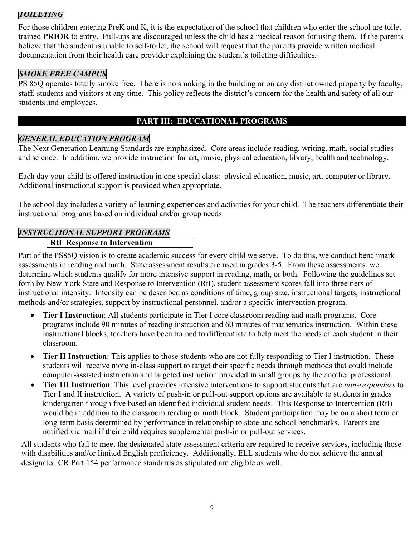## *TOILETING*

For those children entering PreK and K, it is the expectation of the school that children who enter the school are toilet trained **PRIOR** to entry. Pull-ups are discouraged unless the child has a medical reason for using them. If the parents believe that the student is unable to self-toilet, the school will request that the parents provide written medical documentation from their health care provider explaining the student's toileting difficulties.

## *SMOKE FREE CAMPUS*

PS 85Q operates totally smoke free. There is no smoking in the building or on any district owned property by faculty, staff, students and visitors at any time. This policy reflects the district's concern for the health and safety of all our students and employees.

# **PART III: EDUCATIONAL PROGRAMS**

#### *GENERAL EDUCATION PROGRAM*

The Next Generation Learning Standards are emphasized. Core areas include reading, writing, math, social studies and science. In addition, we provide instruction for art, music, physical education, library, health and technology.

Each day your child is offered instruction in one special class: physical education, music, art, computer or library. Additional instructional support is provided when appropriate.

The school day includes a variety of learning experiences and activities for your child. The teachers differentiate their instructional programs based on individual and/or group needs.

### *INSTRUCTIONAL SUPPORT PROGRAMS*

#### **RtI Response to Intervention**

Part of the PS85Q vision is to create academic success for every child we serve. To do this, we conduct benchmark assessments in reading and math. State assessment results are used in grades 3-5. From these assessments, we determine which students qualify for more intensive support in reading, math, or both. Following the guidelines set forth by New York State and Response to Intervention (RtI), student assessment scores fall into three tiers of instructional intensity. Intensity can be described as conditions of time, group size, instructional targets, instructional methods and/or strategies, support by instructional personnel, and/or a specific intervention program.

- **Tier I Instruction**: All students participate in Tier I core classroom reading and math programs. Core programs include 90 minutes of reading instruction and 60 minutes of mathematics instruction. Within these instructional blocks, teachers have been trained to differentiate to help meet the needs of each student in their classroom.
- **Tier II Instruction**: This applies to those students who are not fully responding to Tier I instruction. These students will receive more in-class support to target their specific needs through methods that could include computer-assisted instruction and targeted instruction provided in small groups by the another professional.
- **Tier III Instruction**: This level provides intensive interventions to support students that are *non-responders* to Tier I and II instruction. A variety of push-in or pull-out support options are available to students in grades kindergarten through five based on identified individual student needs. This Response to Intervention (RtI) would be in addition to the classroom reading or math block. Student participation may be on a short term or long-term basis determined by performance in relationship to state and school benchmarks. Parents are notified via mail if their child requires supplemental push-in or pull-out services.

All students who fail to meet the designated state assessment criteria are required to receive services, including those with disabilities and/or limited English proficiency. Additionally, ELL students who do not achieve the annual designated CR Part 154 performance standards as stipulated are eligible as well.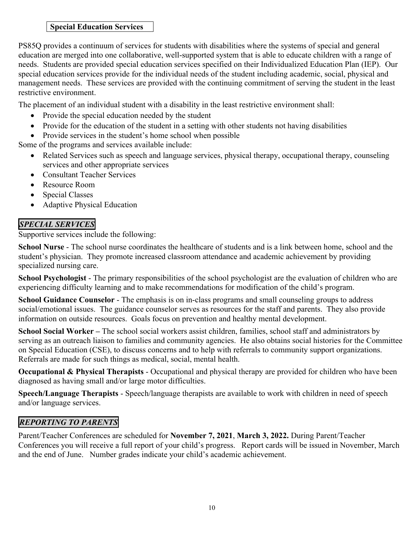#### **Special Education Services**

PS85Q provides a continuum of services for students with disabilities where the systems of special and general education are merged into one collaborative, well-supported system that is able to educate children with a range of needs. Students are provided special education services specified on their Individualized Education Plan (IEP). Our special education services provide for the individual needs of the student including academic, social, physical and management needs. These services are provided with the continuing commitment of serving the student in the least restrictive environment.

The placement of an individual student with a disability in the least restrictive environment shall:

- Provide the special education needed by the student
- Provide for the education of the student in a setting with other students not having disabilities
- Provide services in the student's home school when possible

Some of the programs and services available include:

- Related Services such as speech and language services, physical therapy, occupational therapy, counseling services and other appropriate services
- Consultant Teacher Services
- Resource Room
- Special Classes
- Adaptive Physical Education

# *SPECIAL SERVICES*

Supportive services include the following:

**School Nurse** - The school nurse coordinates the healthcare of students and is a link between home, school and the student's physician. They promote increased classroom attendance and academic achievement by providing specialized nursing care.

**School Psychologist** - The primary responsibilities of the school psychologist are the evaluation of children who are experiencing difficulty learning and to make recommendations for modification of the child's program.

**School Guidance Counselor** - The emphasis is on in-class programs and small counseling groups to address social/emotional issues. The guidance counselor serves as resources for the staff and parents. They also provide information on outside resources. Goals focus on prevention and healthy mental development.

**School Social Worker –** The school social workers assist children, families, school staff and administrators by serving as an outreach liaison to families and community agencies. He also obtains social histories for the Committee on Special Education (CSE), to discuss concerns and to help with referrals to community support organizations. Referrals are made for such things as medical, social, mental health.

**Occupational & Physical Therapists** - Occupational and physical therapy are provided for children who have been diagnosed as having small and/or large motor difficulties.

**Speech/Language Therapists** - Speech/language therapists are available to work with children in need of speech and/or language services.

# *REPORTING TO PARENTS*

Parent/Teacher Conferences are scheduled for **November 7, 2021**, **March 3, 2022.** During Parent/Teacher Conferences you will receive a full report of your child's progress. Report cards will be issued in November, March and the end of June. Number grades indicate your child's academic achievement.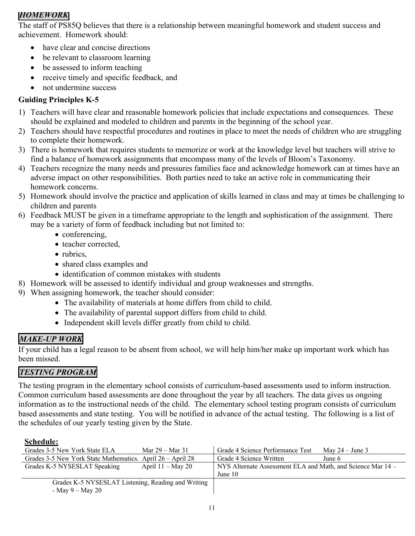## *HOMEWORK*

The staff of PS85Q believes that there is a relationship between meaningful homework and student success and achievement. Homework should:

- have clear and concise directions
- be relevant to classroom learning
- be assessed to inform teaching
- receive timely and specific feedback, and
- not undermine success

### **Guiding Principles K-5**

- 1) Teachers will have clear and reasonable homework policies that include expectations and consequences. These should be explained and modeled to children and parents in the beginning of the school year.
- 2) Teachers should have respectful procedures and routines in place to meet the needs of children who are struggling to complete their homework.
- 3) There is homework that requires students to memorize or work at the knowledge level but teachers will strive to find a balance of homework assignments that encompass many of the levels of Bloom's Taxonomy.
- 4) Teachers recognize the many needs and pressures families face and acknowledge homework can at times have an adverse impact on other responsibilities. Both parties need to take an active role in communicating their homework concerns.
- 5) Homework should involve the practice and application of skills learned in class and may at times be challenging to children and parents
- 6) Feedback MUST be given in a timeframe appropriate to the length and sophistication of the assignment. There may be a variety of form of feedback including but not limited to:
	- conferencing,
	- teacher corrected,
	- rubrics,
	- shared class examples and
	- identification of common mistakes with students
- 8) Homework will be assessed to identify individual and group weaknesses and strengths.
- 9) When assigning homework, the teacher should consider:
	- The availability of materials at home differs from child to child.
	- The availability of parental support differs from child to child.
	- Independent skill levels differ greatly from child to child.

# *MAKE-UP WORK*

If your child has a legal reason to be absent from school, we will help him/her make up important work which has been missed.

# *TESTING PROGRAM*

The testing program in the elementary school consists of curriculum-based assessments used to inform instruction. Common curriculum based assessments are done throughout the year by all teachers. The data gives us ongoing information as to the instructional needs of the child. The elementary school testing program consists of curriculum based assessments and state testing. You will be notified in advance of the actual testing. The following is a list of the schedules of our yearly testing given by the State.

#### **Schedule:**

| Grades 3-5 New York State ELA                              | Mar $29 -$ Mar 31   | Grade 4 Science Performance Test                            | May $24 -$ June 3 |
|------------------------------------------------------------|---------------------|-------------------------------------------------------------|-------------------|
| Grades 3-5 New York State Mathematics. April 26 – April 28 |                     | Grade 4 Science Written                                     | June 6            |
| Grades K-5 NYSESLAT Speaking                               | April $11 -$ May 20 | NYS Alternate Assessment ELA and Math, and Science Mar 14 – |                   |
|                                                            |                     | June $10$                                                   |                   |
| Grades K-5 NYSESLAT Listening, Reading and Writing         |                     |                                                             |                   |
| - May 9 – May 20                                           |                     |                                                             |                   |